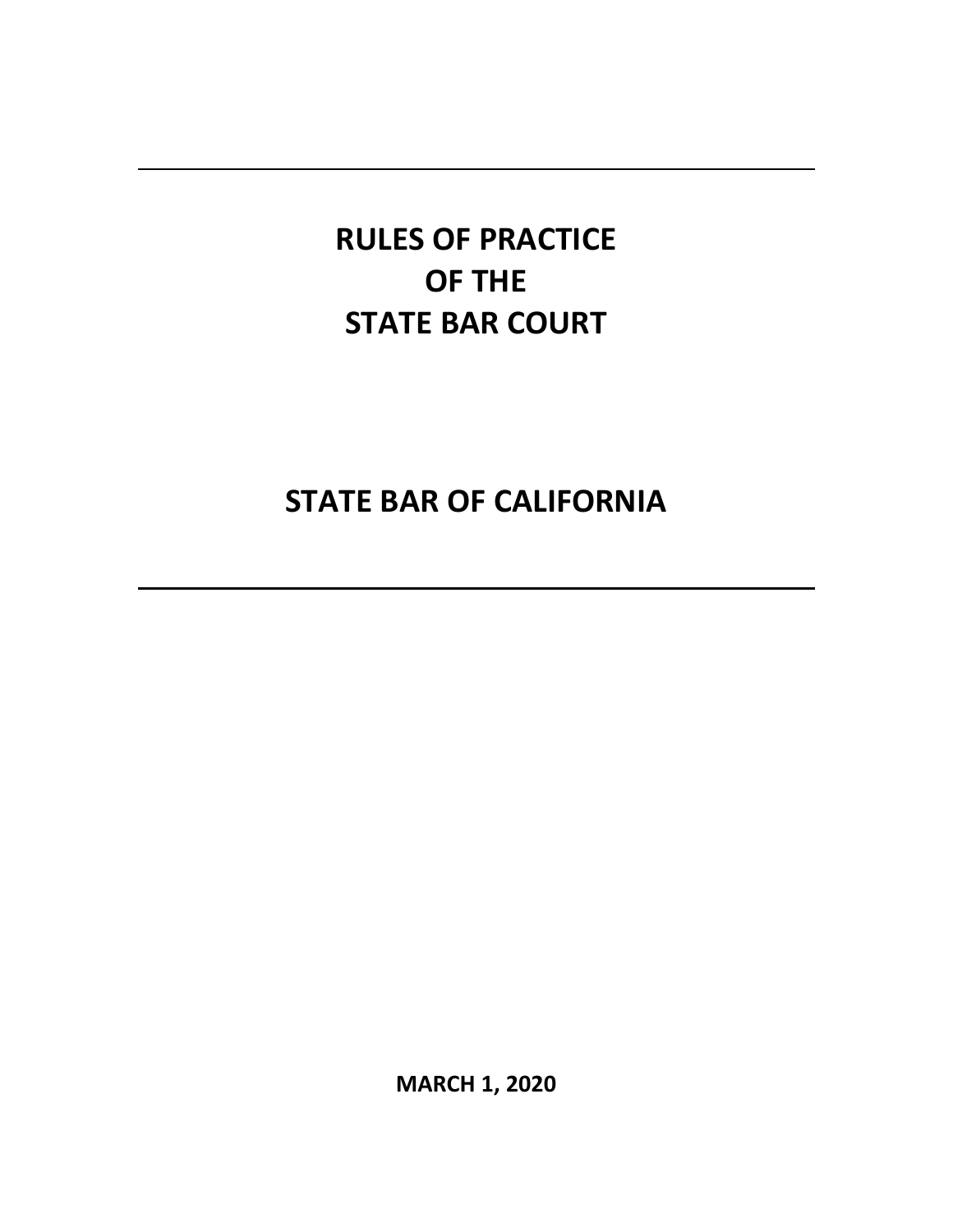# **STATE BAR OF CALIFORNIA**

**MARCH 1, 2020**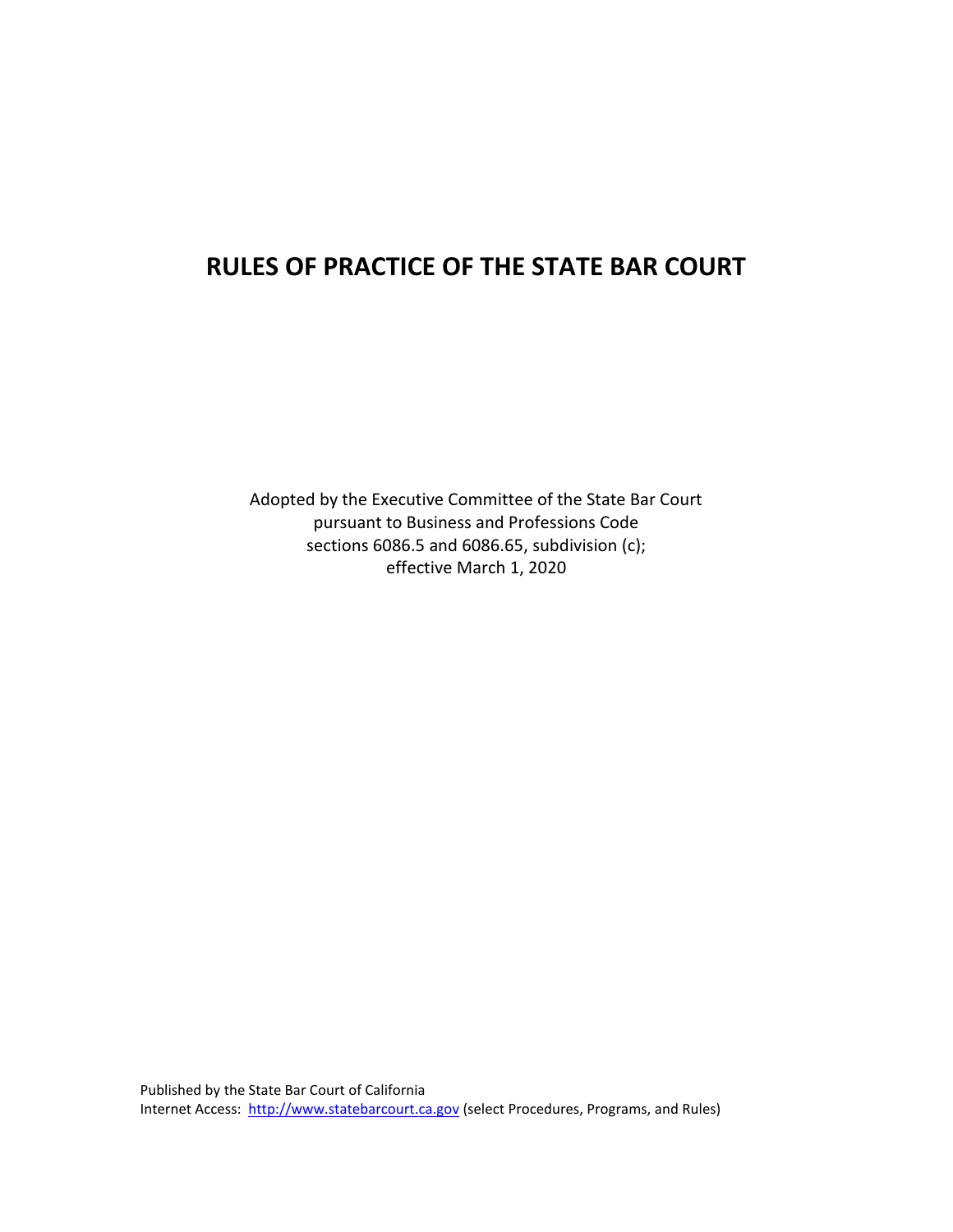Adopted by the Executive Committee of the State Bar Court pursuant to Business and Professions Code sections 6086.5 and 6086.65, subdivision (c); effective March 1, 2020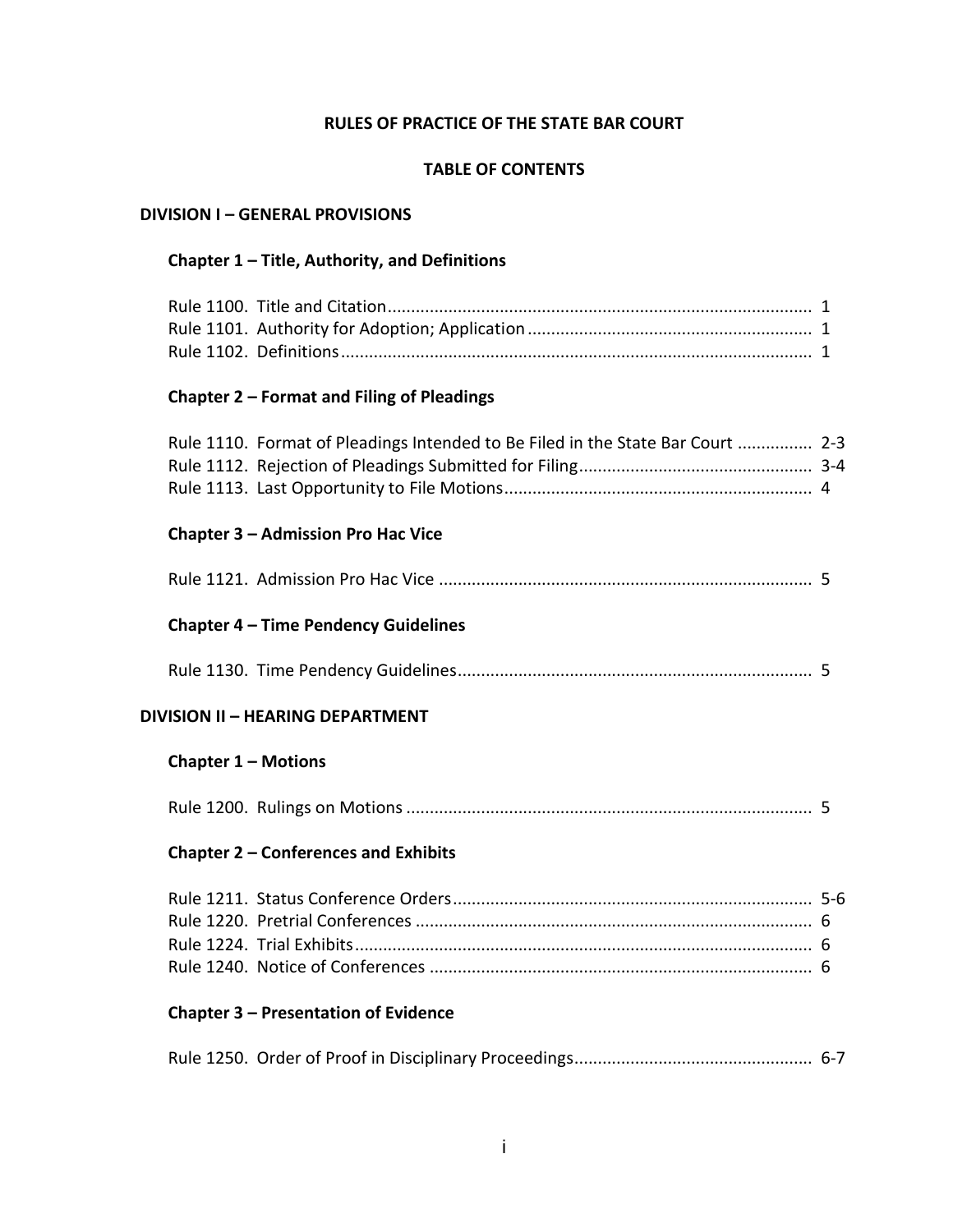#### **TABLE OF CONTENTS**

#### **DIVISION I – GENERAL PROVISIONS**

#### **Chapter 1 – Title, Authority, and Definitions**

# **Chapter 2 – Format and Filing of Pleadings**

| Rule 1110. Format of Pleadings Intended to Be Filed in the State Bar Court  2-3 |  |
|---------------------------------------------------------------------------------|--|
|                                                                                 |  |
|                                                                                 |  |

#### **Chapter 3 – Admission Pro Hac Vice**

|--|--|--|

# **Chapter 4 – Time Pendency Guidelines**

Rule 1130. Time Pendency Guidelines ............................................................................ 5

#### **DIVISION II – HEARING DEPARTMENT**

# **Chapter 1 – Motions**

|--|--|--|

#### **Chapter 2 – Conferences and Exhibits**

# **Chapter 3 – Presentation of Evidence**

|--|--|--|--|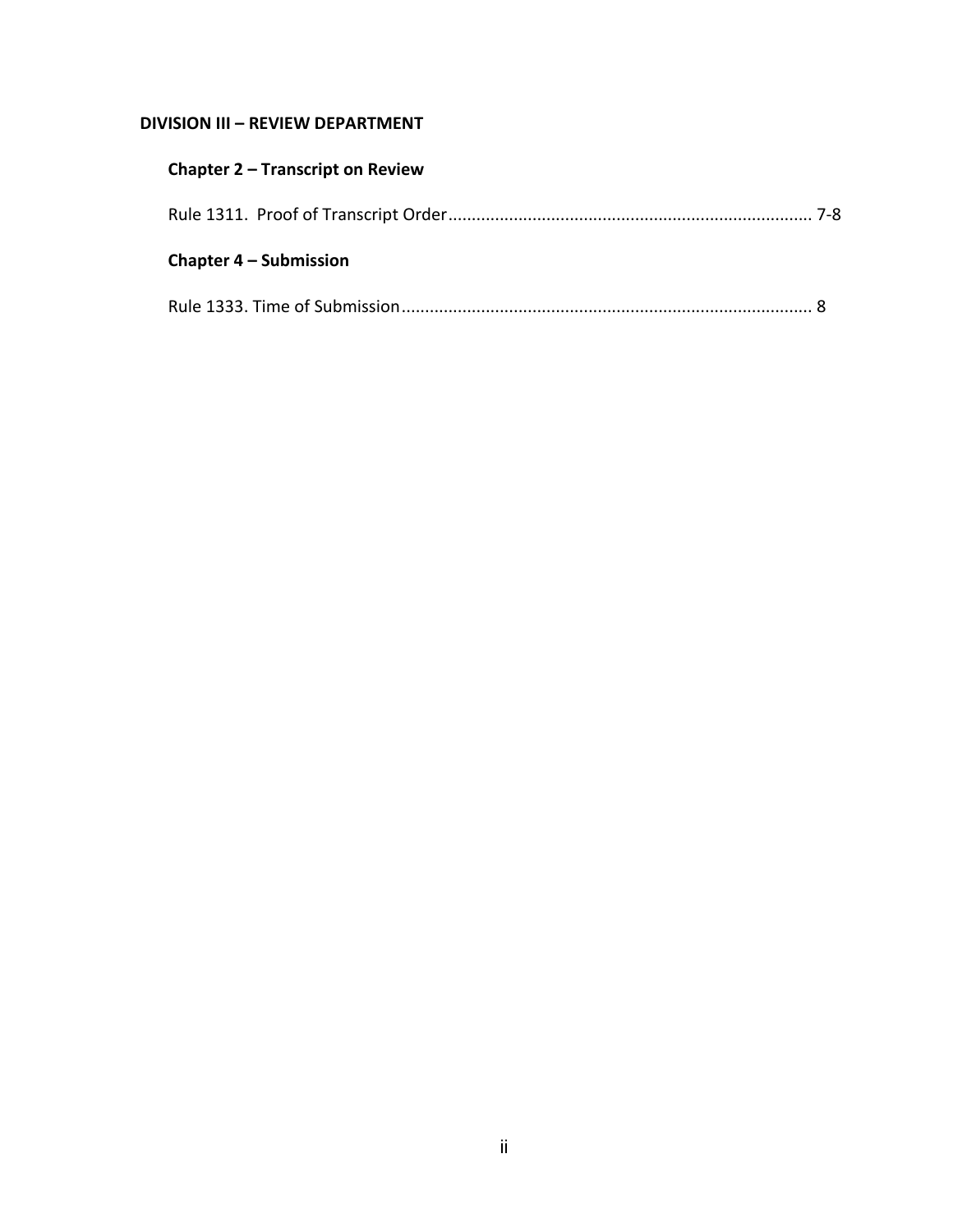# **DIVISION III – REVIEW DEPARTMENT**

| <b>Chapter 2 – Transcript on Review</b> |  |
|-----------------------------------------|--|
|                                         |  |
| <b>Chapter 4 – Submission</b>           |  |
|                                         |  |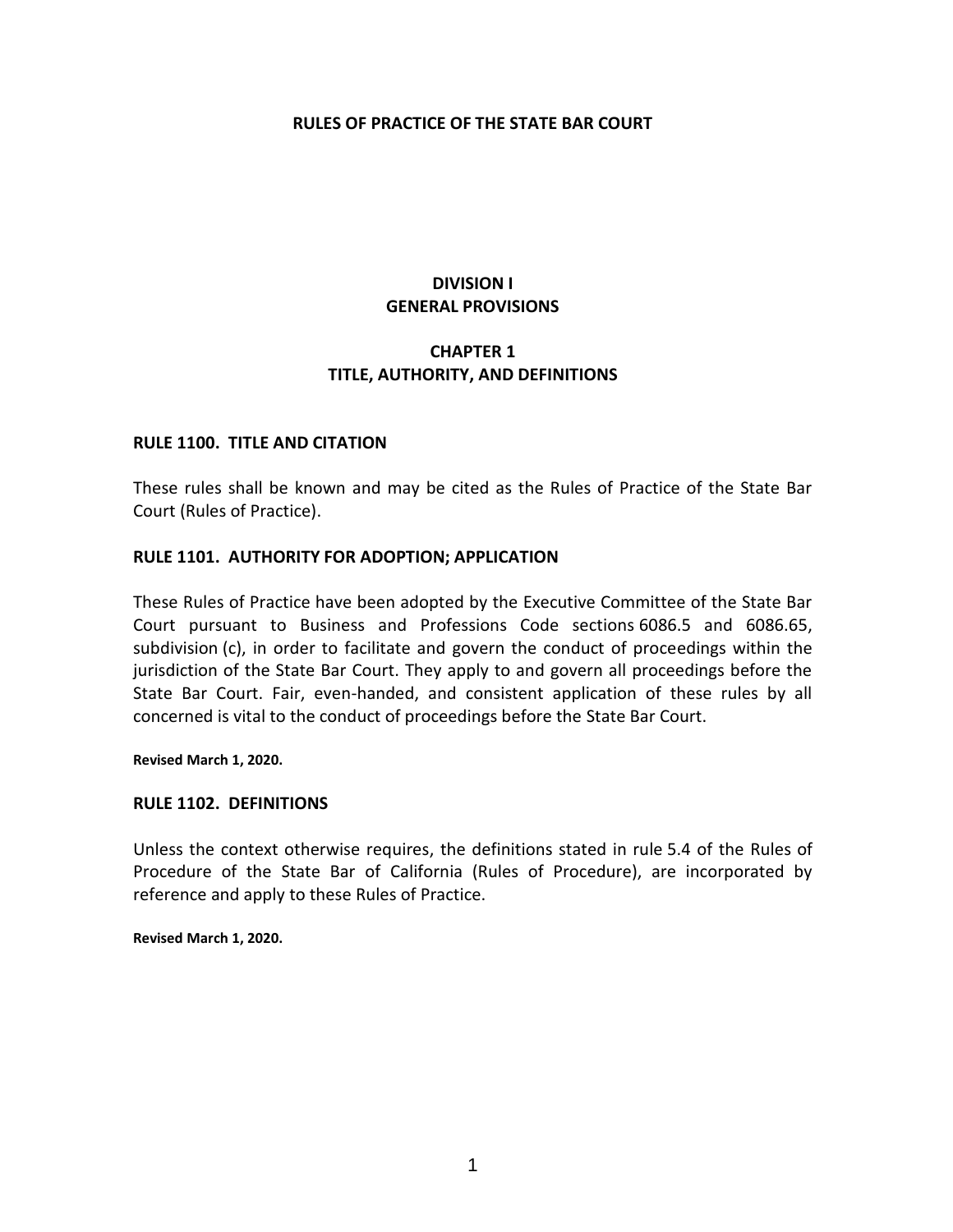# **DIVISION I GENERAL PROVISIONS**

# **CHAPTER 1 TITLE, AUTHORITY, AND DEFINITIONS**

#### **RULE 1100. TITLE AND CITATION**

These rules shall be known and may be cited as the Rules of Practice of the State Bar Court (Rules of Practice).

#### **RULE 1101. AUTHORITY FOR ADOPTION; APPLICATION**

These Rules of Practice have been adopted by the Executive Committee of the State Bar Court pursuant to Business and Professions Code sections 6086.5 and 6086.65, subdivision (c), in order to facilitate and govern the conduct of proceedings within the jurisdiction of the State Bar Court. They apply to and govern all proceedings before the State Bar Court. Fair, even-handed, and consistent application of these rules by all concerned is vital to the conduct of proceedings before the State Bar Court.

**Revised March 1, 2020.**

#### **RULE 1102. DEFINITIONS**

Unless the context otherwise requires, the definitions stated in rule 5.4 of the Rules of Procedure of the State Bar of California (Rules of Procedure), are incorporated by reference and apply to these Rules of Practice.

**Revised March 1, 2020.**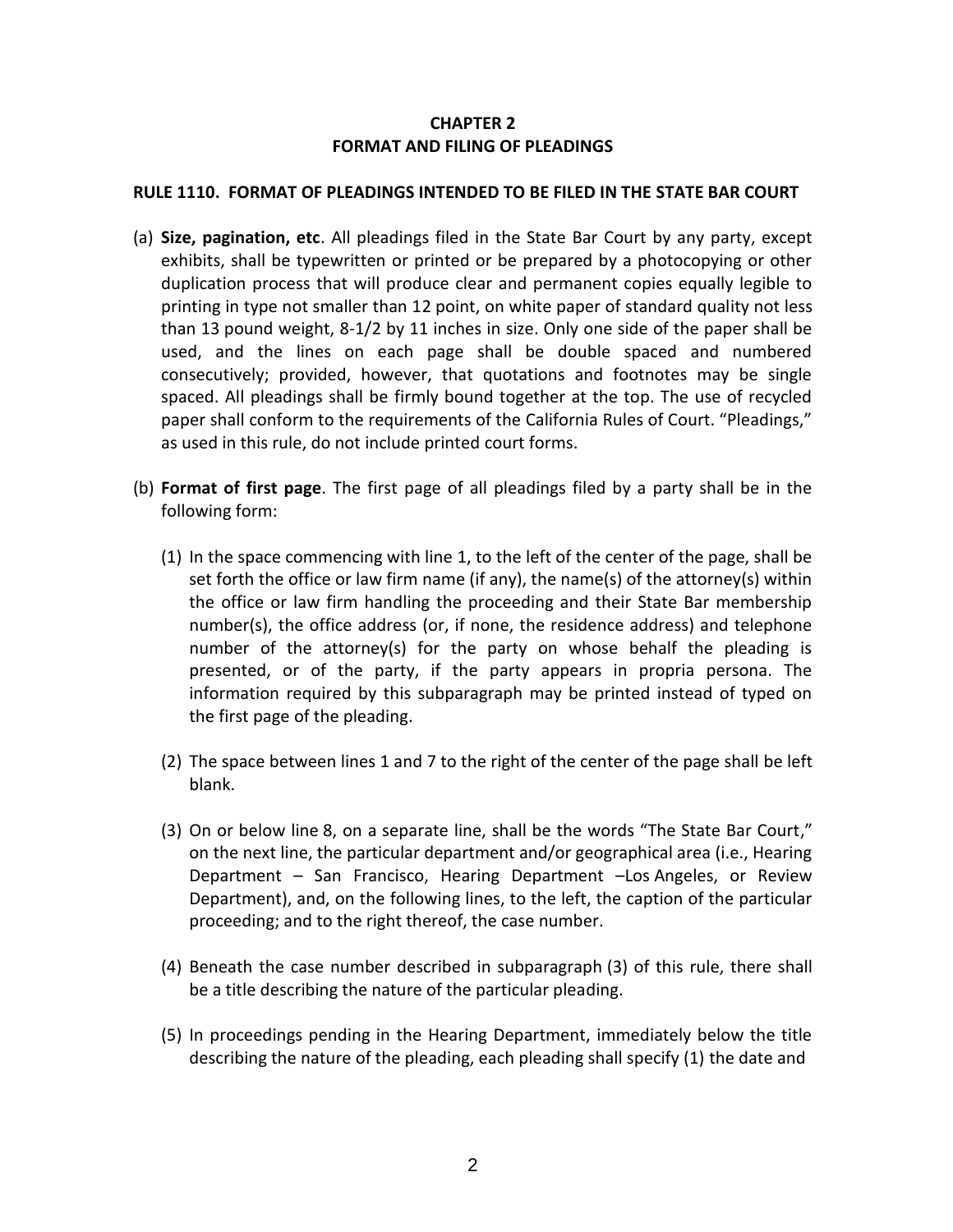# **CHAPTER 2 FORMAT AND FILING OF PLEADINGS**

# **RULE 1110. FORMAT OF PLEADINGS INTENDED TO BE FILED IN THE STATE BAR COURT**

- (a) **Size, pagination, etc**. All pleadings filed in the State Bar Court by any party, except exhibits, shall be typewritten or printed or be prepared by a photocopying or other duplication process that will produce clear and permanent copies equally legible to printing in type not smaller than 12 point, on white paper of standard quality not less than 13 pound weight, 8-1/2 by 11 inches in size. Only one side of the paper shall be used, and the lines on each page shall be double spaced and numbered consecutively; provided, however, that quotations and footnotes may be single spaced. All pleadings shall be firmly bound together at the top. The use of recycled paper shall conform to the requirements of the California Rules of Court. "Pleadings," as used in this rule, do not include printed court forms.
- (b) **Format of first page**. The first page of all pleadings filed by a party shall be in the following form:
	- (1) In the space commencing with line 1, to the left of the center of the page, shall be set forth the office or law firm name (if any), the name(s) of the attorney(s) within the office or law firm handling the proceeding and their State Bar membership number(s), the office address (or, if none, the residence address) and telephone number of the attorney(s) for the party on whose behalf the pleading is presented, or of the party, if the party appears in propria persona. The information required by this subparagraph may be printed instead of typed on the first page of the pleading.
	- (2) The space between lines 1 and 7 to the right of the center of the page shall be left blank.
	- (3) On or below line 8, on a separate line, shall be the words "The State Bar Court," on the next line, the particular department and/or geographical area (i.e., Hearing Department – San Francisco, Hearing Department –Los Angeles, or Review Department), and, on the following lines, to the left, the caption of the particular proceeding; and to the right thereof, the case number.
	- (4) Beneath the case number described in subparagraph (3) of this rule, there shall be a title describing the nature of the particular pleading.
	- (5) In proceedings pending in the Hearing Department, immediately below the title describing the nature of the pleading, each pleading shall specify (1) the date and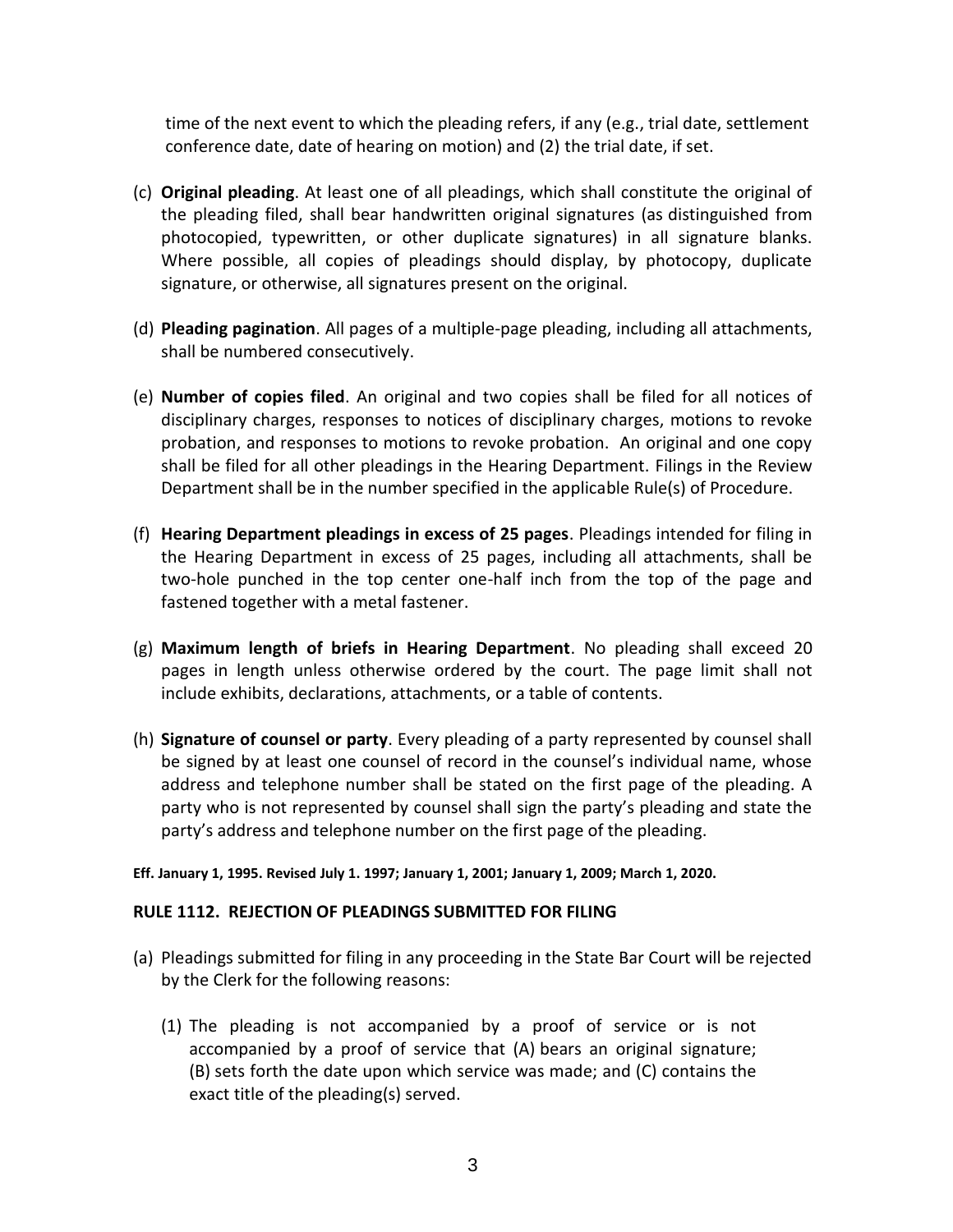time of the next event to which the pleading refers, if any (e.g., trial date, settlement conference date, date of hearing on motion) and (2) the trial date, if set.

- (c) **Original pleading**. At least one of all pleadings, which shall constitute the original of the pleading filed, shall bear handwritten original signatures (as distinguished from photocopied, typewritten, or other duplicate signatures) in all signature blanks. Where possible, all copies of pleadings should display, by photocopy, duplicate signature, or otherwise, all signatures present on the original.
- (d) **Pleading pagination**. All pages of a multiple-page pleading, including all attachments, shall be numbered consecutively.
- (e) **Number of copies filed**. An original and two copies shall be filed for all notices of disciplinary charges, responses to notices of disciplinary charges, motions to revoke probation, and responses to motions to revoke probation. An original and one copy shall be filed for all other pleadings in the Hearing Department. Filings in the Review Department shall be in the number specified in the applicable Rule(s) of Procedure.
- (f) **Hearing Department pleadings in excess of 25 pages**. Pleadings intended for filing in the Hearing Department in excess of 25 pages, including all attachments, shall be two-hole punched in the top center one-half inch from the top of the page and fastened together with a metal fastener.
- (g) **Maximum length of briefs in Hearing Department**. No pleading shall exceed 20 pages in length unless otherwise ordered by the court. The page limit shall not include exhibits, declarations, attachments, or a table of contents.
- (h) **Signature of counsel or party**. Every pleading of a party represented by counsel shall be signed by at least one counsel of record in the counsel's individual name, whose address and telephone number shall be stated on the first page of the pleading. A party who is not represented by counsel shall sign the party's pleading and state the party's address and telephone number on the first page of the pleading.

#### **Eff. January 1, 1995. Revised July 1. 1997; January 1, 2001; January 1, 2009; March 1, 2020.**

# **RULE 1112. REJECTION OF PLEADINGS SUBMITTED FOR FILING**

- (a) Pleadings submitted for filing in any proceeding in the State Bar Court will be rejected by the Clerk for the following reasons:
	- (1) The pleading is not accompanied by a proof of service or is not accompanied by a proof of service that (A) bears an original signature; (B) sets forth the date upon which service was made; and (C) contains the exact title of the pleading(s) served.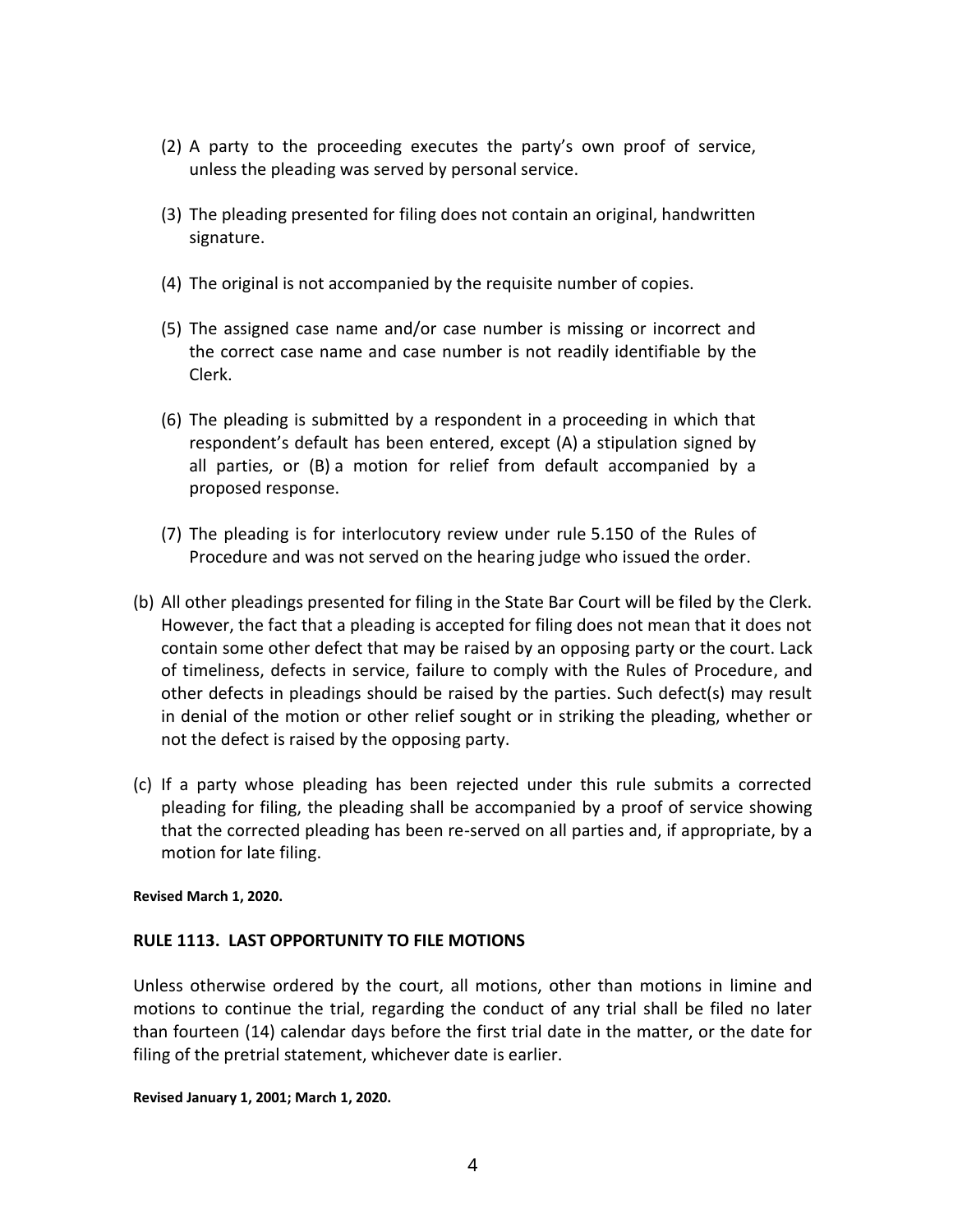- (2) A party to the proceeding executes the party's own proof of service, unless the pleading was served by personal service.
- (3) The pleading presented for filing does not contain an original, handwritten signature.
- (4) The original is not accompanied by the requisite number of copies.
- (5) The assigned case name and/or case number is missing or incorrect and the correct case name and case number is not readily identifiable by the Clerk.
- (6) The pleading is submitted by a respondent in a proceeding in which that respondent's default has been entered, except (A) a stipulation signed by all parties, or (B) a motion for relief from default accompanied by a proposed response.
- (7) The pleading is for interlocutory review under rule 5.150 of the Rules of Procedure and was not served on the hearing judge who issued the order.
- (b) All other pleadings presented for filing in the State Bar Court will be filed by the Clerk. However, the fact that a pleading is accepted for filing does not mean that it does not contain some other defect that may be raised by an opposing party or the court. Lack of timeliness, defects in service, failure to comply with the Rules of Procedure, and other defects in pleadings should be raised by the parties. Such defect(s) may result in denial of the motion or other relief sought or in striking the pleading, whether or not the defect is raised by the opposing party.
- (c) If a party whose pleading has been rejected under this rule submits a corrected pleading for filing, the pleading shall be accompanied by a proof of service showing that the corrected pleading has been re-served on all parties and, if appropriate, by a motion for late filing.

**Revised March 1, 2020.**

# **RULE 1113. LAST OPPORTUNITY TO FILE MOTIONS**

Unless otherwise ordered by the court, all motions, other than motions in limine and motions to continue the trial, regarding the conduct of any trial shall be filed no later than fourteen (14) calendar days before the first trial date in the matter, or the date for filing of the pretrial statement, whichever date is earlier.

**Revised January 1, 2001; March 1, 2020.**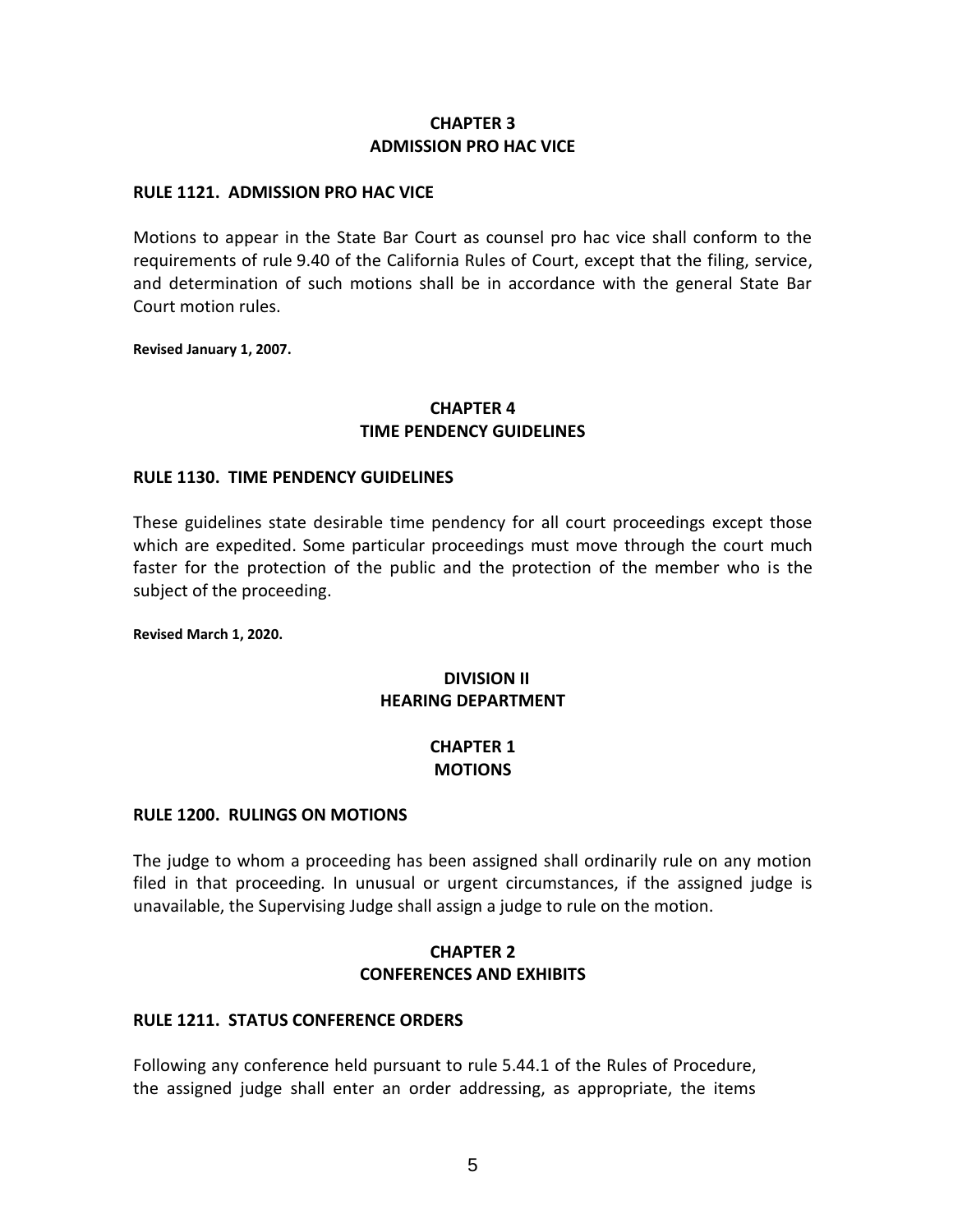# **CHAPTER 3 ADMISSION PRO HAC VICE**

#### **RULE 1121. ADMISSION PRO HAC VICE**

Motions to appear in the State Bar Court as counsel pro hac vice shall conform to the requirements of rule 9.40 of the California Rules of Court, except that the filing, service, and determination of such motions shall be in accordance with the general State Bar Court motion rules.

**Revised January 1, 2007.** 

# **CHAPTER 4 TIME PENDENCY GUIDELINES**

#### **RULE 1130. TIME PENDENCY GUIDELINES**

These guidelines state desirable time pendency for all court proceedings except those which are expedited. Some particular proceedings must move through the court much faster for the protection of the public and the protection of the member who is the subject of the proceeding.

**Revised March 1, 2020.**

# **DIVISION II HEARING DEPARTMENT**

# **CHAPTER 1 MOTIONS**

#### **RULE 1200. RULINGS ON MOTIONS**

The judge to whom a proceeding has been assigned shall ordinarily rule on any motion filed in that proceeding. In unusual or urgent circumstances, if the assigned judge is unavailable, the Supervising Judge shall assign a judge to rule on the motion.

# **CHAPTER 2 CONFERENCES AND EXHIBITS**

#### **RULE 1211. STATUS CONFERENCE ORDERS**

Following any conference held pursuant to rule 5.44.1 of the Rules of Procedure, the assigned judge shall enter an order addressing, as appropriate, the items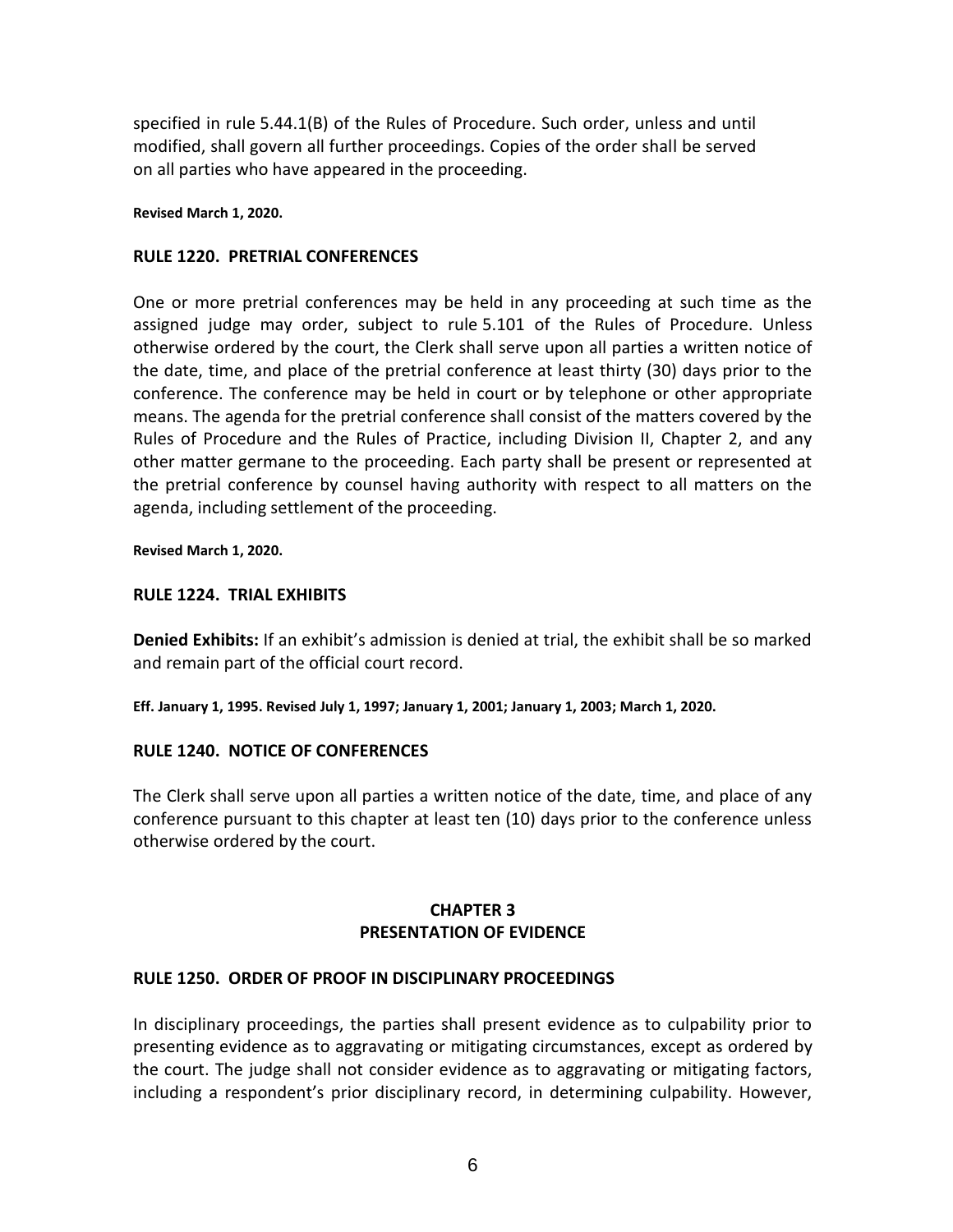specified in rule 5.44.1(B) of the Rules of Procedure. Such order, unless and until modified, shall govern all further proceedings. Copies of the order shall be served on all parties who have appeared in the proceeding.

#### **Revised March 1, 2020.**

#### **RULE 1220. PRETRIAL CONFERENCES**

One or more pretrial conferences may be held in any proceeding at such time as the assigned judge may order, subject to rule 5.101 of the Rules of Procedure. Unless otherwise ordered by the court, the Clerk shall serve upon all parties a written notice of the date, time, and place of the pretrial conference at least thirty (30) days prior to the conference. The conference may be held in court or by telephone or other appropriate means. The agenda for the pretrial conference shall consist of the matters covered by the Rules of Procedure and the Rules of Practice, including Division II, Chapter 2, and any other matter germane to the proceeding. Each party shall be present or represented at the pretrial conference by counsel having authority with respect to all matters on the agenda, including settlement of the proceeding.

**Revised March 1, 2020.** 

#### **RULE 1224. TRIAL EXHIBITS**

**Denied Exhibits:** If an exhibit's admission is denied at trial, the exhibit shall be so marked and remain part of the official court record.

**Eff. January 1, 1995. Revised July 1, 1997; January 1, 2001; January 1, 2003; March 1, 2020.** 

#### **RULE 1240. NOTICE OF CONFERENCES**

The Clerk shall serve upon all parties a written notice of the date, time, and place of any conference pursuant to this chapter at least ten (10) days prior to the conference unless otherwise ordered by the court.

# **CHAPTER 3 PRESENTATION OF EVIDENCE**

#### **RULE 1250. ORDER OF PROOF IN DISCIPLINARY PROCEEDINGS**

In disciplinary proceedings, the parties shall present evidence as to culpability prior to presenting evidence as to aggravating or mitigating circumstances, except as ordered by the court. The judge shall not consider evidence as to aggravating or mitigating factors, including a respondent's prior disciplinary record, in determining culpability. However,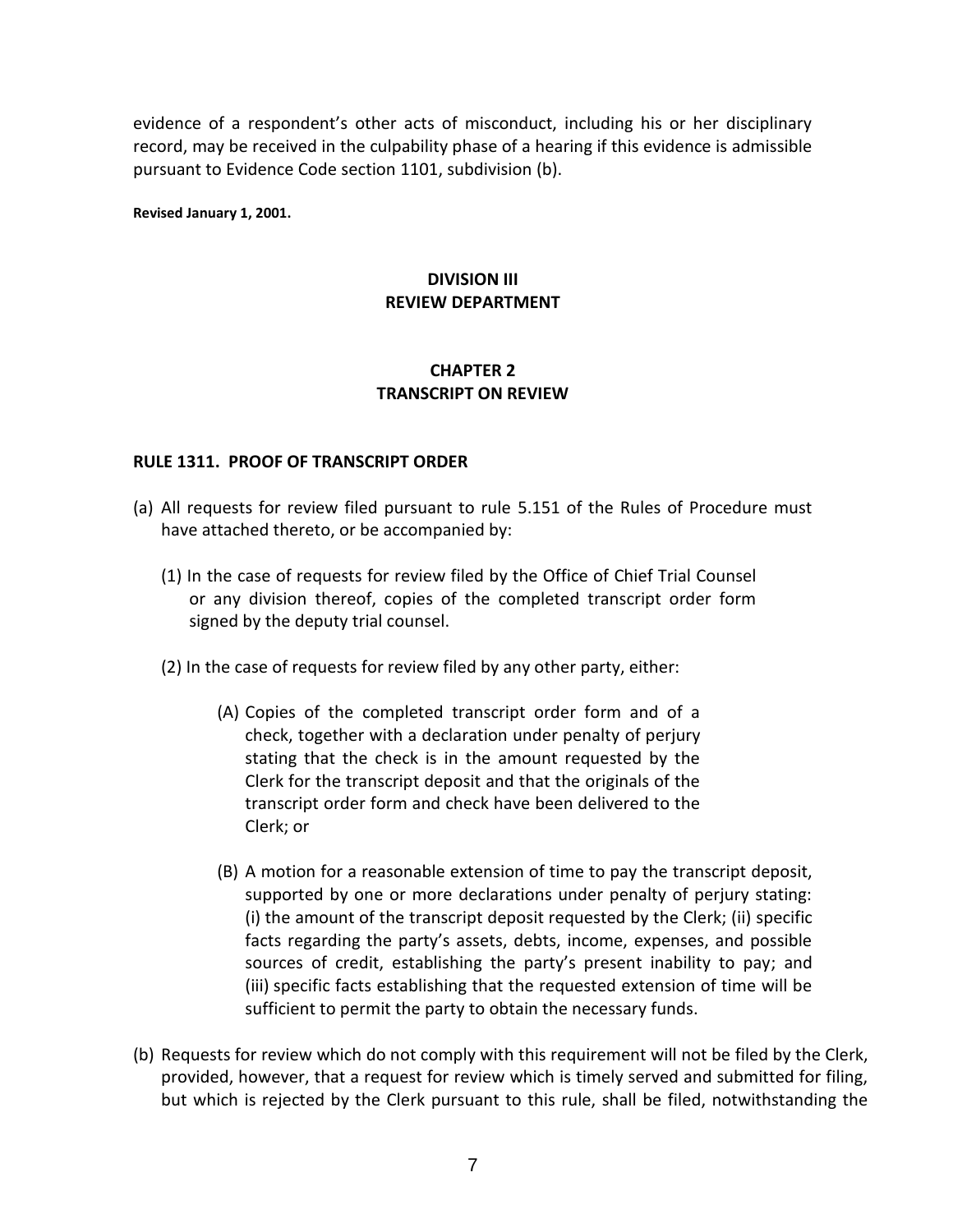evidence of a respondent's other acts of misconduct, including his or her disciplinary record, may be received in the culpability phase of a hearing if this evidence is admissible pursuant to Evidence Code section 1101, subdivision (b).

**Revised January 1, 2001.** 

# **DIVISION III REVIEW DEPARTMENT**

# **CHAPTER 2 TRANSCRIPT ON REVIEW**

# **RULE 1311. PROOF OF TRANSCRIPT ORDER**

- (a) All requests for review filed pursuant to rule 5.151 of the Rules of Procedure must have attached thereto, or be accompanied by:
	- (1) In the case of requests for review filed by the Office of Chief Trial Counsel or any division thereof, copies of the completed transcript order form signed by the deputy trial counsel.
	- (2) In the case of requests for review filed by any other party, either:
		- (A) Copies of the completed transcript order form and of a check, together with a declaration under penalty of perjury stating that the check is in the amount requested by the Clerk for the transcript deposit and that the originals of the transcript order form and check have been delivered to the Clerk; or
		- (B) A motion for a reasonable extension of time to pay the transcript deposit, supported by one or more declarations under penalty of perjury stating: (i) the amount of the transcript deposit requested by the Clerk; (ii) specific facts regarding the party's assets, debts, income, expenses, and possible sources of credit, establishing the party's present inability to pay; and (iii) specific facts establishing that the requested extension of time will be sufficient to permit the party to obtain the necessary funds.
- (b) Requests for review which do not comply with this requirement will not be filed by the Clerk, provided, however, that a request for review which is timely served and submitted for filing, but which is rejected by the Clerk pursuant to this rule, shall be filed, notwithstanding the